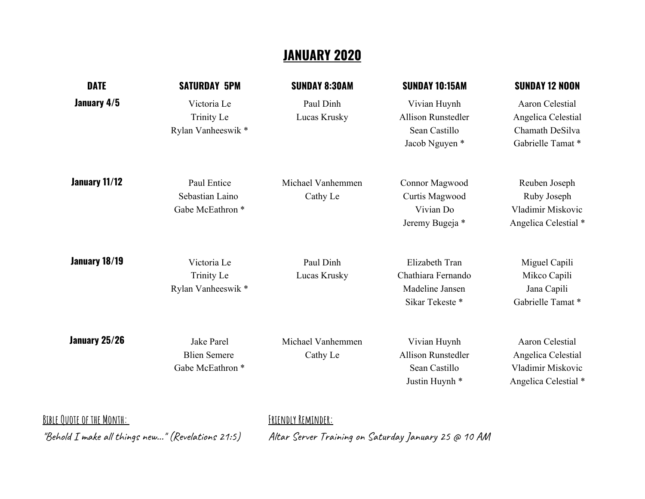## **JANUARY 2020**

| <b>DATE</b>        | <b>SATURDAY 5PM</b>                                                     | <b>SUNDAY 8:30AM</b>          | <b>SUNDAY 10:15AM</b>                                                        | <b>SUNDAY 12 NOON</b>                                                              |
|--------------------|-------------------------------------------------------------------------|-------------------------------|------------------------------------------------------------------------------|------------------------------------------------------------------------------------|
| <b>January 4/5</b> | Victoria Le<br>Trinity Le<br>Rylan Vanheeswik *                         | Paul Dinh<br>Lucas Krusky     | Vivian Huynh<br><b>Allison Runstedler</b><br>Sean Castillo<br>Jacob Nguyen * | Aaron Celestial<br>Angelica Celestial<br>Chamath DeSilva<br>Gabrielle Tamat*       |
| January 11/12      | Paul Entice<br>Sebastian Laino<br>Gabe McEathron <sup>*</sup>           | Michael Vanhemmen<br>Cathy Le | Connor Magwood<br>Curtis Magwood<br>Vivian Do<br>Jeremy Bugeja *             | Reuben Joseph<br>Ruby Joseph<br>Vladimir Miskovic<br>Angelica Celestial *          |
| January 18/19      | Victoria Le<br>Trinity Le<br>Rylan Vanheeswik*                          | Paul Dinh<br>Lucas Krusky     | Elizabeth Tran<br>Chathiara Fernando<br>Madeline Jansen<br>Sikar Tekeste*    | Miguel Capili<br>Mikco Capili<br>Jana Capili<br>Gabrielle Tamat*                   |
| January 25/26      | <b>Jake Parel</b><br><b>Blien Semere</b><br>Gabe McEathron <sup>*</sup> | Michael Vanhemmen<br>Cathy Le | Vivian Huynh<br><b>Allison Runstedler</b><br>Sean Castillo<br>Justin Huynh * | Aaron Celestial<br>Angelica Celestial<br>Vladimir Miskovic<br>Angelica Celestial * |

**BIBLE QUOTE OF THE MONTH:** FRIENDLY REMINDER:

"Behold I make all things new..." (Revelations 21:5) Altar Server Training on Saturday January 25 @ 10 AM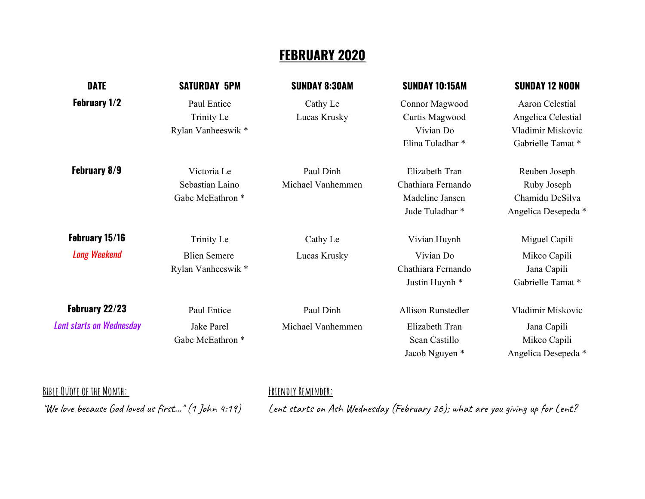## **FEBRUARY 2020**

| <b>DATE</b>              | <b>SATURDAY 5PM</b>         | <b>SUNDAY 8:30AM</b> | <b>SUNDAY 10:15AM</b>     | <b>SUNDAY 12 NOON</b> |
|--------------------------|-----------------------------|----------------------|---------------------------|-----------------------|
| <b>February 1/2</b>      | Paul Entice                 | Cathy Le             | Connor Magwood            | Aaron Celestial       |
|                          | Trinity Le                  | Lucas Krusky         | Curtis Magwood            | Angelica Celestial    |
|                          | Rylan Vanheeswik *          |                      | Vivian Do                 | Vladimir Miskovic     |
|                          |                             |                      | Elina Tuladhar*           | Gabrielle Tamat*      |
| <b>February 8/9</b>      | Victoria Le                 | Paul Dinh            | Elizabeth Tran            | Reuben Joseph         |
|                          | Sebastian Laino             | Michael Vanhemmen    | Chathiara Fernando        | Ruby Joseph           |
|                          | Gabe McEathron <sup>*</sup> |                      | Madeline Jansen           | Chamidu DeSilva       |
|                          |                             |                      | Jude Tuladhar*            | Angelica Desepeda *   |
| February 15/16           | Trinity Le                  | Cathy Le             | Vivian Huynh              | Miguel Capili         |
| <b>Long Weekend</b>      | <b>Blien Semere</b>         | Lucas Krusky         | Vivian Do                 | Mikco Capili          |
|                          | Rylan Vanheeswik *          |                      | Chathiara Fernando        | Jana Capili           |
|                          |                             |                      | Justin Huynh *            | Gabrielle Tamat*      |
| February 22/23           | Paul Entice                 | Paul Dinh            | <b>Allison Runstedler</b> | Vladimir Miskovic     |
| Lent starts on Wednesday | <b>Jake Parel</b>           | Michael Vanhemmen    | Elizabeth Tran            | Jana Capili           |
|                          | Gabe McEathron <sup>*</sup> |                      | Sean Castillo             | Mikco Capili          |
|                          |                             |                      | Jacob Nguyen *            | Angelica Desepeda *   |
|                          |                             |                      |                           |                       |

"We love because God loved us first..." (1 John 4:19) Lent starts on Ash Wednesday (February 26); what are you giving up for Lent?

**BIBLE QUOTE OF THE MONTH:** FRIENDLY REMINDER: